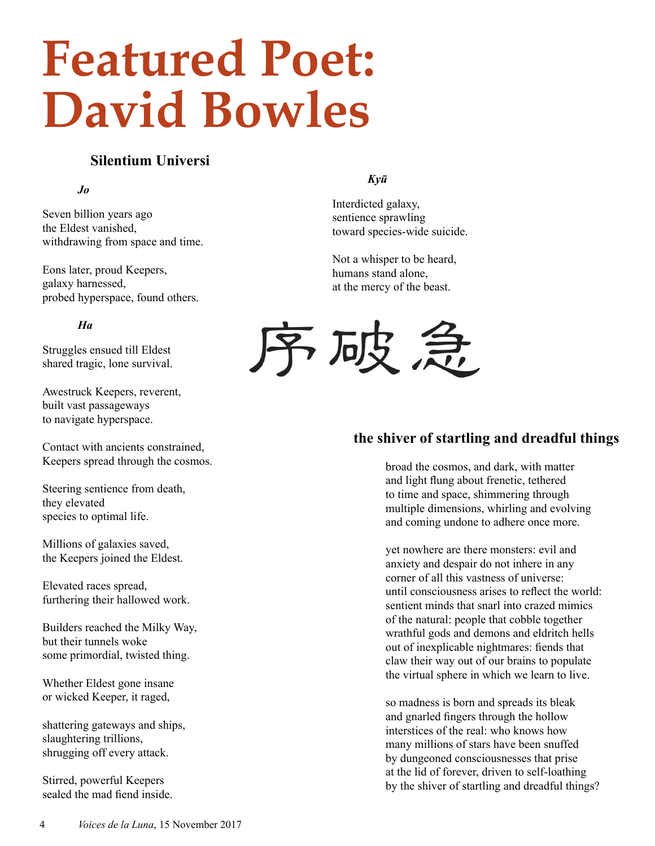# **Featured Poet: David Bowles**

# **Silentium Universi**

### *Jo*

Seven billion years ago the Eldest vanished, withdrawing from space and time.

Eons later, proud Keepers, galaxy harnessed, probed hyperspace, found others.

## *Ha*

Struggles ensued till Eldest shared tragic, lone survival.

Awestruck Keepers, reverent, built vast passageways to navigate hyperspace.

Contact with ancients constrained, Keepers spread through the cosmos.

Steering sentience from death, they elevated species to optimal life.

Millions of galaxies saved, the Keepers joined the Eldest.

Elevated races spread, furthering their hallowed work.

Builders reached the Milky Way, but their tunnels woke some primordial, twisted thing.

Whether Eldest gone insane or wicked Keeper, it raged,

shattering gateways and ships, slaughtering trillions, shrugging off every attack.

Stirred, powerful Keepers sealed the mad fiend inside.

### *Kyū*

Interdicted galaxy, sentience sprawling toward species-wide suicide.

Not a whisper to be heard, humans stand alone, at the mercy of the beast.



# **the shiver of startling and dreadful things**

broad the cosmos, and dark, with matter and light flung about frenetic, tethered to time and space, shimmering through multiple dimensions, whirling and evolving and coming undone to adhere once more.

yet nowhere are there monsters: evil and anxiety and despair do not inhere in any corner of all this vastness of universe: until consciousness arises to reflect the world: sentient minds that snarl into crazed mimics of the natural: people that cobble together wrathful gods and demons and eldritch hells out of inexplicable nightmares: fiends that claw their way out of our brains to populate the virtual sphere in which we learn to live.

so madness is born and spreads its bleak and gnarled fingers through the hollow interstices of the real: who knows how many millions of stars have been snuffed by dungeoned consciousnesses that prise at the lid of forever, driven to self-loathing by the shiver of startling and dreadful things?